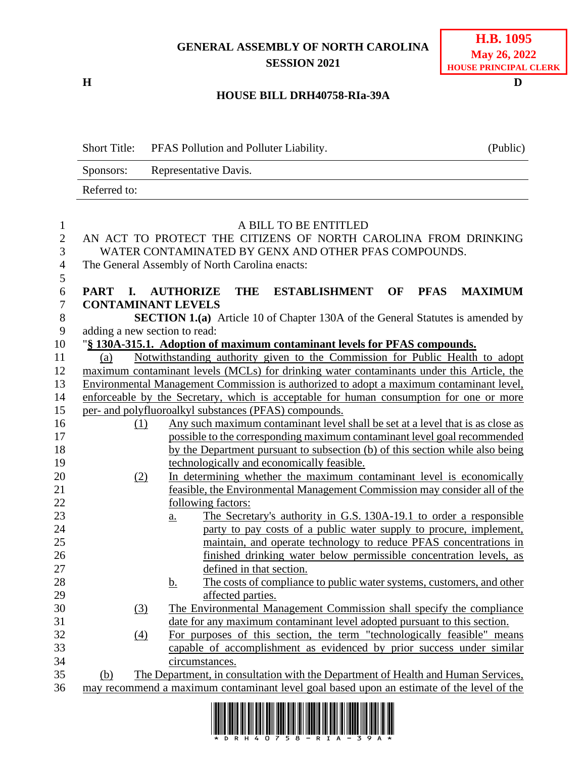## **GENERAL ASSEMBLY OF NORTH CAROLINA SESSION 2021**

**H D**

### **HOUSE BILL DRH40758-RIa-39A**

| <b>Short Title:</b> |                  | PFAS Pollution and Polluter Liability.                                                     | (Public) |
|---------------------|------------------|--------------------------------------------------------------------------------------------|----------|
| Sponsors:           |                  | Representative Davis.                                                                      |          |
| Referred to:        |                  |                                                                                            |          |
|                     |                  |                                                                                            |          |
|                     |                  | A BILL TO BE ENTITLED                                                                      |          |
|                     |                  | AN ACT TO PROTECT THE CITIZENS OF NORTH CAROLINA FROM DRINKING                             |          |
|                     |                  | WATER CONTAMINATED BY GENX AND OTHER PFAS COMPOUNDS.                                       |          |
|                     |                  | The General Assembly of North Carolina enacts:                                             |          |
| PART I.             |                  | <b>AUTHORIZE</b><br><b>THE</b><br><b>ESTABLISHMENT OF</b><br><b>PFAS</b><br><b>MAXIMUM</b> |          |
|                     |                  | <b>CONTAMINANT LEVELS</b>                                                                  |          |
|                     |                  | <b>SECTION 1.(a)</b> Article 10 of Chapter 130A of the General Statutes is amended by      |          |
|                     |                  | adding a new section to read:                                                              |          |
|                     |                  | "§ 130A-315.1. Adoption of maximum contaminant levels for PFAS compounds.                  |          |
| (a)                 |                  | Notwithstanding authority given to the Commission for Public Health to adopt               |          |
|                     |                  | maximum contaminant levels (MCLs) for drinking water contaminants under this Article, the  |          |
|                     |                  | Environmental Management Commission is authorized to adopt a maximum contaminant level,    |          |
|                     |                  | enforceable by the Secretary, which is acceptable for human consumption for one or more    |          |
|                     |                  | per- and polyfluoroalkyl substances (PFAS) compounds.                                      |          |
|                     | (1)              | Any such maximum contaminant level shall be set at a level that is as close as             |          |
|                     |                  | possible to the corresponding maximum contaminant level goal recommended                   |          |
|                     |                  | by the Department pursuant to subsection (b) of this section while also being              |          |
|                     |                  | technologically and economically feasible.                                                 |          |
|                     | (2)              | In determining whether the maximum contaminant level is economically                       |          |
|                     |                  | feasible, the Environmental Management Commission may consider all of the                  |          |
|                     |                  | following factors:                                                                         |          |
|                     |                  | The Secretary's authority in G.S. 130A-19.1 to order a responsible<br>$\underline{a}$ .    |          |
|                     |                  | party to pay costs of a public water supply to procure, implement,                         |          |
|                     |                  | maintain, and operate technology to reduce PFAS concentrations in                          |          |
|                     |                  | finished drinking water below permissible concentration levels, as                         |          |
|                     |                  | defined in that section.                                                                   |          |
|                     |                  | The costs of compliance to public water systems, customers, and other<br><u>b.</u>         |          |
|                     |                  | affected parties.                                                                          |          |
|                     | $\left(3\right)$ | The Environmental Management Commission shall specify the compliance                       |          |
|                     |                  | date for any maximum contaminant level adopted pursuant to this section.                   |          |
|                     | (4)              | For purposes of this section, the term "technologically feasible" means                    |          |
|                     |                  | capable of accomplishment as evidenced by prior success under similar                      |          |
|                     |                  | circumstances.                                                                             |          |
| <u>(b)</u>          |                  | The Department, in consultation with the Department of Health and Human Services,          |          |
|                     |                  | may recommend a maximum contaminant level goal based upon an estimate of the level of the  |          |

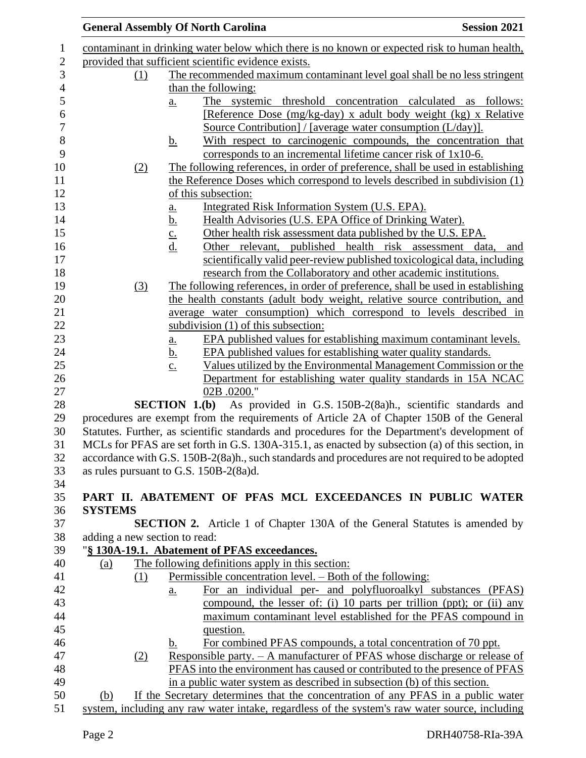|                               | <b>General Assembly Of North Carolina</b>                                                        | <b>Session 2021</b> |
|-------------------------------|--------------------------------------------------------------------------------------------------|---------------------|
|                               | contaminant in drinking water below which there is no known or expected risk to human health,    |                     |
|                               | provided that sufficient scientific evidence exists.                                             |                     |
| <u>(1)</u>                    | The recommended maximum contaminant level goal shall be no less stringent                        |                     |
|                               | than the following:                                                                              |                     |
|                               | The systemic threshold concentration calculated as follows:<br>$\underline{a}$ .                 |                     |
|                               | [Reference Dose (mg/kg-day) x adult body weight (kg) x Relative                                  |                     |
|                               | Source Contribution $/$ [average water consumption $(L/day)$ ].                                  |                     |
|                               | With respect to carcinogenic compounds, the concentration that<br><u>b.</u>                      |                     |
|                               | corresponds to an incremental lifetime cancer risk of 1x10-6.                                    |                     |
| (2)                           | The following references, in order of preference, shall be used in establishing                  |                     |
|                               | the Reference Doses which correspond to levels described in subdivision (1)                      |                     |
|                               | of this subsection:                                                                              |                     |
|                               | Integrated Risk Information System (U.S. EPA).<br>a.                                             |                     |
|                               | Health Advisories (U.S. EPA Office of Drinking Water).<br><u>b.</u>                              |                     |
|                               | Other health risk assessment data published by the U.S. EPA.<br>$\underline{c}$ .                |                     |
|                               | $\underline{d}$ .<br>Other relevant, published health risk assessment data,                      | and                 |
|                               | scientifically valid peer-review published toxicological data, including                         |                     |
|                               | research from the Collaboratory and other academic institutions.                                 |                     |
| (3)                           | The following references, in order of preference, shall be used in establishing                  |                     |
|                               | the health constants (adult body weight, relative source contribution, and                       |                     |
|                               | average water consumption) which correspond to levels described in                               |                     |
|                               | subdivision (1) of this subsection:                                                              |                     |
|                               | EPA published values for establishing maximum contaminant levels.<br>a.                          |                     |
|                               | EPA published values for establishing water quality standards.<br><u>b.</u>                      |                     |
|                               | Values utilized by the Environmental Management Commission or the<br>$\underline{c}$ .           |                     |
|                               | Department for establishing water quality standards in 15A NCAC                                  |                     |
|                               | 02B .0200."                                                                                      |                     |
|                               | SECTION 1.(b) As provided in G.S. 150B-2(8a)h., scientific standards and                         |                     |
|                               | procedures are exempt from the requirements of Article 2A of Chapter 150B of the General         |                     |
|                               | Statutes. Further, as scientific standards and procedures for the Department's development of    |                     |
|                               | MCLs for PFAS are set forth in G.S. 130A-315.1, as enacted by subsection (a) of this section, in |                     |
|                               | accordance with G.S. 150B-2(8a)h., such standards and procedures are not required to be adopted  |                     |
|                               | as rules pursuant to G.S. 150B-2(8a)d.                                                           |                     |
|                               |                                                                                                  |                     |
|                               | PART II. ABATEMENT OF PFAS MCL EXCEEDANCES IN PUBLIC WATER                                       |                     |
| <b>SYSTEMS</b>                |                                                                                                  |                     |
|                               | <b>SECTION 2.</b> Article 1 of Chapter 130A of the General Statutes is amended by                |                     |
| adding a new section to read: |                                                                                                  |                     |
| (a)                           | "§ 130A-19.1. Abatement of PFAS exceedances.<br>The following definitions apply in this section: |                     |
| (1)                           | Permissible concentration level. – Both of the following:                                        |                     |
|                               | For an individual per- and polyfluoroalkyl substances (PFAS)                                     |                     |
|                               | <u>a.</u><br>compound, the lesser of: (i) 10 parts per trillion (ppt); or (ii) any               |                     |
|                               | maximum contaminant level established for the PFAS compound in                                   |                     |
|                               | question.                                                                                        |                     |
|                               | For combined PFAS compounds, a total concentration of 70 ppt.                                    |                     |
|                               | b.<br><u>Responsible party. – A manufacturer of PFAS whose discharge or release of</u>           |                     |
| (2)                           | PFAS into the environment has caused or contributed to the presence of PFAS                      |                     |
|                               | in a public water system as described in subsection (b) of this section.                         |                     |
| (b)                           | If the Secretary determines that the concentration of any PFAS in a public water                 |                     |
|                               | system, including any raw water intake, regardless of the system's raw water source, including   |                     |
|                               |                                                                                                  |                     |